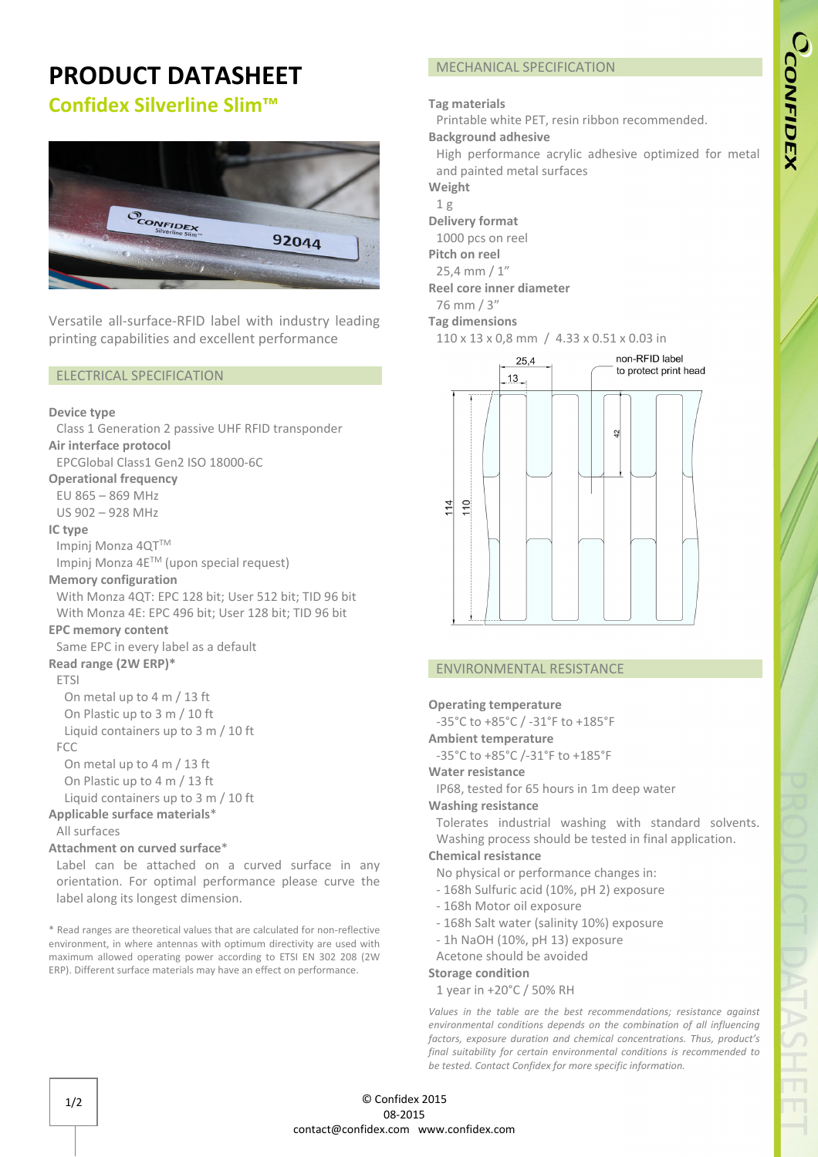# **PRODUCT DATASHEET**

## **Confidex Silverline Slim™**



Versatile all-surface-RFID label with industry leading printing capabilities and excellent performance

#### ELECTRICAL SPECIFICATION

#### **Device type**

Class 1 Generation 2 passive UHF RFID transponder **Air interface protocol**  EPCGlobal Class1 Gen2 ISO 18000-6C **Operational frequency** EU 865 – 869 MHz US 902 – 928 MHz **IC type**  Impinj Monza 4QT™ Impinj Monza 4ETM (upon special request) **Memory configuration**  With Monza 4QT: EPC 128 bit; User 512 bit; TID 96 bit With Monza 4E: EPC 496 bit; User 128 bit; TID 96 bit **EPC memory content**  Same EPC in every label as a default **Read range (2W ERP)\* FTSI** On metal up to 4 m / 13 ft On Plastic up to 3 m / 10 ft Liquid containers up to 3 m / 10 ft FCC On metal up to 4 m / 13 ft On Plastic up to 4 m / 13 ft Liquid containers up to 3 m / 10 ft **Applicable surface materials**\* All surfaces **Attachment on curved surface**\*

Label can be attached on a curved surface in any orientation. For optimal performance please curve the label along its longest dimension.

\* Read ranges are theoretical values that are calculated for non-reflective environment, in where antennas with optimum directivity are used with maximum allowed operating power according to ETSI EN 302 208 (2W ERP). Different surface materials may have an effect on performance.

## MECHANICAL SPECIFICATION

## **Tag materials**

Printable white PET, resin ribbon recommended.

**Background adhesive**

High performance acrylic adhesive optimized for metal and painted metal surfaces

**Weight**

- 1 g
- **Delivery format**

1000 pcs on reel **Pitch on reel**

25,4 mm / 1"

**Reel core inner diameter**

76 mm / 3"

**Tag dimensions** 

110 x 13 x 0,8 mm / 4.33 x 0.51 x 0.03 in



## ENVIRONMENTAL RESISTANCE

#### **Operating temperature**

-35°C to +85°C / -31°F to +185°F

**Ambient temperature**

-35°C to +85°C /-31°F to +185°F

**Water resistance**

IP68, tested for 65 hours in 1m deep water

**Washing resistance**

Tolerates industrial washing with standard solvents. Washing process should be tested in final application.

## **Chemical resistance**

No physical or performance changes in:

- 168h Sulfuric acid (10%, pH 2) exposure
- 168h Motor oil exposure
- 168h Salt water (salinity 10%) exposure

- 1h NaOH (10%, pH 13) exposure

Acetone should be avoided

## **Storage condition**

1 year in +20°C / 50% RH

*Values in the table are the best recommendations; resistance against environmental conditions depends on the combination of all influencing factors, exposure duration and chemical concentrations. Thus, product's final suitability for certain environmental conditions is recommended to be tested. Contact Confidex for more specific information.*